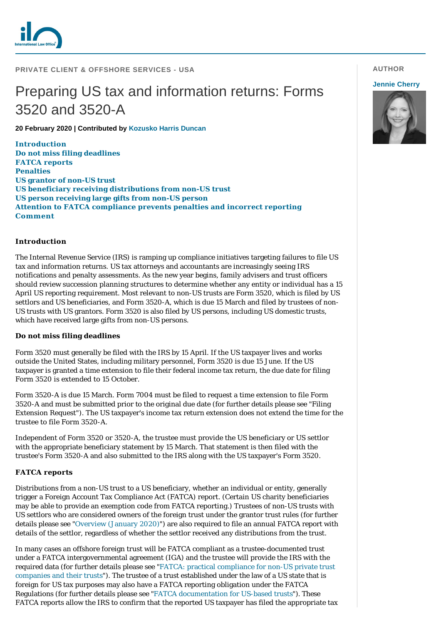

## **PRIVATE CLIENT & OFFSHORE SERVICES - USA**

# Preparing US tax and information returns: Forms 3520 and 3520-A

**20 February 2020 | Contributed by [Kozusko Harris Duncan](https://www.internationallawoffice.com/gesr.ashx?l=8SMPLHH)**

**[Introduction](#page-0-0) [Do not miss filing deadlines](#page-0-1) [FATCA reports](#page-0-2) [Penalties](#page-1-0) [US grantor of non-US trust](#page-1-1) [US beneficiary receiving distributions from non-US trust](#page-1-2) [US person receiving large gifts from non-US person](#page-1-3) [Attention to FATCA compliance prevents penalties and incorrect reporting](#page-2-0) [Comment](#page-2-1)**

### <span id="page-0-0"></span>**Introduction**

The Internal Revenue Service (IRS) is ramping up compliance initiatives targeting failures to file US tax and information returns. US tax attorneys and accountants are increasingly seeing IRS notifications and penalty assessments. As the new year begins, family advisers and trust officers should review succession planning structures to determine whether any entity or individual has a 15 April US reporting requirement. Most relevant to non-US trusts are Form 3520, which is filed by US settlors and US beneficiaries, and Form 3520-A, which is due 15 March and filed by trustees of non-US trusts with US grantors. Form 3520 is also filed by US persons, including US domestic trusts, which have received large gifts from non-US persons.

### <span id="page-0-1"></span>**Do not miss filing deadlines**

Form 3520 must generally be filed with the IRS by 15 April. If the US taxpayer lives and works outside the United States, including military personnel, Form 3520 is due 15 June. If the US taxpayer is granted a time extension to file their federal income tax return, the due date for filing Form 3520 is extended to 15 October.

Form 3520-A is due 15 March. Form 7004 must be filed to request a time extension to file Form 3520-A and must be submitted prior to the original due date (for further details please see "Filing Extension Request"). The US taxpayer's income tax return extension does not extend the time for the trustee to file Form 3520-A.

Independent of Form 3520 or 3520-A, the trustee must provide the US beneficiary or US settlor with the appropriate beneficiary statement by 15 March. That statement is then filed with the trustee's Form 3520-A and also submitted to the IRS along with the US taxpayer's Form 3520.

## <span id="page-0-2"></span>**FATCA reports**

Distributions from a non-US trust to a US beneficiary, whether an individual or entity, generally trigger a Foreign Account Tax Compliance Act (FATCA) report. (Certain US charity beneficiaries may be able to provide an exemption code from FATCA reporting.) Trustees of non-US trusts with US settlors who are considered owners of the foreign trust under the grantor trust rules (for further details please see ["Overview \(January 2020\)](https://www.internationallawoffice.com/gesr.ashx?l=8SMPLHV)") are also required to file an annual FATCA report with details of the settlor, regardless of whether the settlor received any distributions from the trust.

In many cases an offshore foreign trust will be FATCA compliant as a trustee-documented trust under a FATCA intergovernmental agreement (IGA) and the trustee will provide the IRS with the [required data \(for further details please see "FATCA: practical compliance for non-US private trust](https://www.internationallawoffice.com/gesr.ashx?l=8SMPLJ7) companies and their trusts"). The trustee of a trust established under the law of a US state that is foreign for US tax purposes may also have a FATCA reporting obligation under the FATCA Regulations (for further details please see ["FATCA documentation for US-based trusts"](https://www.internationallawoffice.com/gesr.ashx?l=8SMPLJG)). These FATCA reports allow the IRS to confirm that the reported US taxpayer has filed the appropriate tax

# **AUTHOR**

### **[Jennie Cherry](https://www.internationallawoffice.com/gesr.ashx?l=8SMPLLY)**

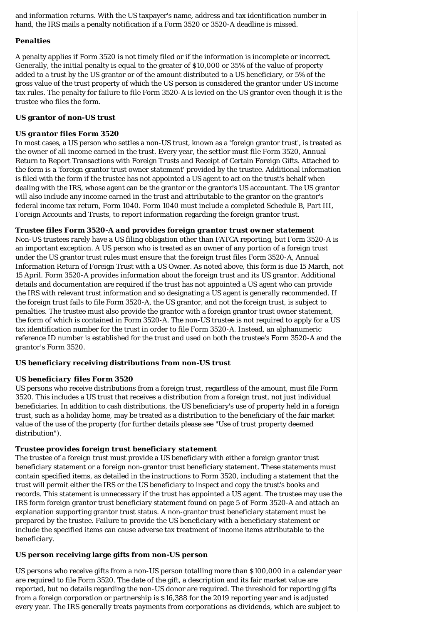and information returns. With the US taxpayer's name, address and tax identification number in hand, the IRS mails a penalty notification if a Form 3520 or 3520-A deadline is missed.

# <span id="page-1-0"></span>**Penalties**

A penalty applies if Form 3520 is not timely filed or if the information is incomplete or incorrect. Generally, the initial penalty is equal to the greater of \$10,000 or 35% of the value of property added to a trust by the US grantor or of the amount distributed to a US beneficiary, or 5% of the gross value of the trust property of which the US person is considered the grantor under US income tax rules. The penalty for failure to file Form 3520-A is levied on the US grantor even though it is the trustee who files the form.

## <span id="page-1-1"></span>**US grantor of non-US trust**

## *US grantor files Form 3520*

In most cases, a US person who settles a non-US trust, known as a 'foreign grantor trust', is treated as the owner of all income earned in the trust. Every year, the settlor must file Form 3520, Annual Return to Report Transactions with Foreign Trusts and Receipt of Certain Foreign Gifts. Attached to the form is a 'foreign grantor trust owner statement' provided by the trustee. Additional information is filed with the form if the trustee has not appointed a US agent to act on the trust's behalf when dealing with the IRS, whose agent can be the grantor or the grantor's US accountant. The US grantor will also include any income earned in the trust and attributable to the grantor on the grantor's federal income tax return, Form 1040. Form 1040 must include a completed Schedule B, Part III, Foreign Accounts and Trusts, to report information regarding the foreign grantor trust.

# *Trustee files Form 3520-A and provides foreign grantor trust owner statement*

Non-US trustees rarely have a US filing obligation other than FATCA reporting, but Form 3520-A is an important exception. A US person who is treated as an owner of any portion of a foreign trust under the US grantor trust rules must ensure that the foreign trust files Form 3520-A, Annual Information Return of Foreign Trust with a US Owner. As noted above, this form is due 15 March, not 15 April. Form 3520-A provides information about the foreign trust and its US grantor. Additional details and documentation are required if the trust has not appointed a US agent who can provide the IRS with relevant trust information and so designating a US agent is generally recommended. If the foreign trust fails to file Form 3520-A, the US grantor, and not the foreign trust, is subject to penalties. The trustee must also provide the grantor with a foreign grantor trust owner statement, the form of which is contained in Form 3520-A. The non-US trustee is not required to apply for a US tax identification number for the trust in order to file Form 3520-A. Instead, an alphanumeric reference ID number is established for the trust and used on both the trustee's Form 3520-A and the grantor's Form 3520.

## <span id="page-1-2"></span>**US beneficiary receiving distributions from non-US trust**

# *US beneficiary files Form 3520*

US persons who receive distributions from a foreign trust, regardless of the amount, must file Form 3520. This includes a US trust that receives a distribution from a foreign trust, not just individual beneficiaries. In addition to cash distributions, the US beneficiary's use of property held in a foreign trust, such as a holiday home, may be treated as a distribution to the beneficiary of the fair market value of the use of the property (for further details please see "Use of trust property deemed distribution").

## *Trustee provides foreign trust beneficiary statement*

The trustee of a foreign trust must provide a US beneficiary with either a foreign grantor trust beneficiary statement or a foreign non-grantor trust beneficiary statement. These statements must contain specified items, as detailed in the instructions to Form 3520, including a statement that the trust will permit either the IRS or the US beneficiary to inspect and copy the trust's books and records. This statement is unnecessary if the trust has appointed a US agent. The trustee may use the IRS form foreign grantor trust beneficiary statement found on page 5 of Form 3520-A and attach an explanation supporting grantor trust status. A non-grantor trust beneficiary statement must be prepared by the trustee. Failure to provide the US beneficiary with a beneficiary statement or include the specified items can cause adverse tax treatment of income items attributable to the beneficiary.

# <span id="page-1-3"></span>**US person receiving large gifts from non-US person**

US persons who receive gifts from a non-US person totalling more than \$100,000 in a calendar year are required to file Form 3520. The date of the gift, a description and its fair market value are reported, but no details regarding the non-US donor are required. The threshold for reporting gifts from a foreign corporation or partnership is \$16,388 for the 2019 reporting year and is adjusted every year. The IRS generally treats payments from corporations as dividends, which are subject to